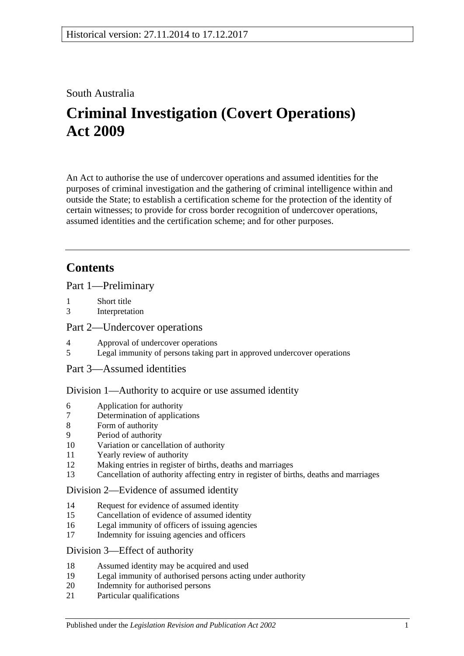## South Australia

# **Criminal Investigation (Covert Operations) Act 2009**

An Act to authorise the use of undercover operations and assumed identities for the purposes of criminal investigation and the gathering of criminal intelligence within and outside the State; to establish a certification scheme for the protection of the identity of certain witnesses; to provide for cross border recognition of undercover operations, assumed identities and the certification scheme; and for other purposes.

# **Contents**

[Part 1—Preliminary](#page-2-0)

- 1 [Short title](#page-2-1)
- 3 [Interpretation](#page-2-2)

## [Part 2—Undercover operations](#page-6-0)

- 4 [Approval of undercover operations](#page-6-1)
- 5 [Legal immunity of persons taking part in approved undercover operations](#page-7-0)
- [Part 3—Assumed identities](#page-8-0)

## [Division 1—Authority to acquire or use assumed identity](#page-8-1)

- 6 [Application for authority](#page-8-2)
- 7 [Determination of applications](#page-8-3)
- 8 [Form of authority](#page-9-0)
- 9 [Period of authority](#page-10-0)
- 10 [Variation or cancellation of authority](#page-10-1)
- 11 [Yearly review of authority](#page-10-2)
- 12 [Making entries in register of births, deaths and marriages](#page-11-0)
- 13 [Cancellation of authority affecting entry in register of births, deaths and marriages](#page-11-1)

#### [Division 2—Evidence of assumed identity](#page-12-0)

- 14 [Request for evidence of assumed identity](#page-12-1)
- 15 [Cancellation of evidence of assumed identity](#page-12-2)
- 16 [Legal immunity of officers of issuing agencies](#page-12-3)
- 17 [Indemnity for issuing agencies and officers](#page-13-0)

## [Division 3—Effect of authority](#page-13-1)

- 18 [Assumed identity may be acquired and used](#page-13-2)
- 19 [Legal immunity of authorised persons acting under authority](#page-13-3)
- 20 [Indemnity for authorised persons](#page-13-4)
- 21 [Particular qualifications](#page-14-0)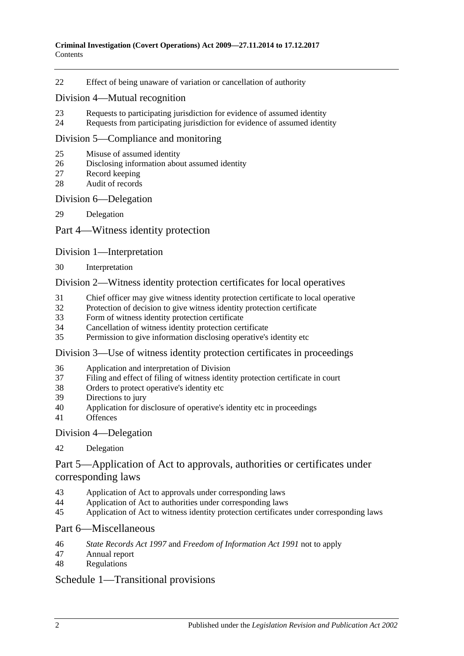[Effect of being unaware of variation or cancellation of authority](#page-14-1)

#### [Division 4—Mutual recognition](#page-14-2)

- [Requests to participating jurisdiction for evidence of assumed identity](#page-14-3)
- [Requests from participating jurisdiction for evidence of assumed identity](#page-15-0)

#### [Division 5—Compliance and monitoring](#page-15-1)

- [Misuse of assumed identity](#page-15-2)
- [Disclosing information about assumed identity](#page-16-0)
- [Record keeping](#page-16-1)
- [Audit of records](#page-17-0)

#### [Division 6—Delegation](#page-17-1)

[Delegation](#page-17-2)

#### [Part 4—Witness identity protection](#page-18-0)

#### [Division 1—Interpretation](#page-18-1)

[Interpretation](#page-18-2)

#### [Division 2—Witness identity protection certificates for local operatives](#page-18-3)

- [Chief officer may give witness identity protection certificate to local operative](#page-18-4)
- [Protection of decision to give witness identity protection certificate](#page-19-0)
- [Form of witness identity protection certificate](#page-20-0)
- [Cancellation of witness identity protection certificate](#page-20-1)
- [Permission to give information disclosing operative's identity etc](#page-21-0)

#### [Division 3—Use of witness identity protection certificates in proceedings](#page-21-1)

- [Application and interpretation of Division](#page-21-2)
- [Filing and effect of filing of witness identity protection certificate in court](#page-21-3)
- [Orders to protect operative's identity etc](#page-23-0)
- [Directions to jury](#page-23-1)
- [Application for disclosure of operative's identity etc in proceedings](#page-23-2)
- [Offences](#page-24-0)

#### [Division 4—Delegation](#page-25-0)

#### [Delegation](#page-25-1)

## [Part 5—Application of Act to approvals, authorities or certificates under](#page-26-0)  [corresponding laws](#page-26-0)

- [Application of Act to approvals under corresponding laws](#page-26-1)
- [Application of Act to authorities under corresponding laws](#page-26-2)
- [Application of Act to witness identity protection certificates under corresponding laws](#page-26-3)

#### [Part 6—Miscellaneous](#page-26-4)

- *State Records Act 1997* and *[Freedom of Information Act](#page-26-5) 1991* not to apply
- [Annual report](#page-27-0)
- [Regulations](#page-28-0)

## [Schedule 1—Transitional provisions](#page-28-1)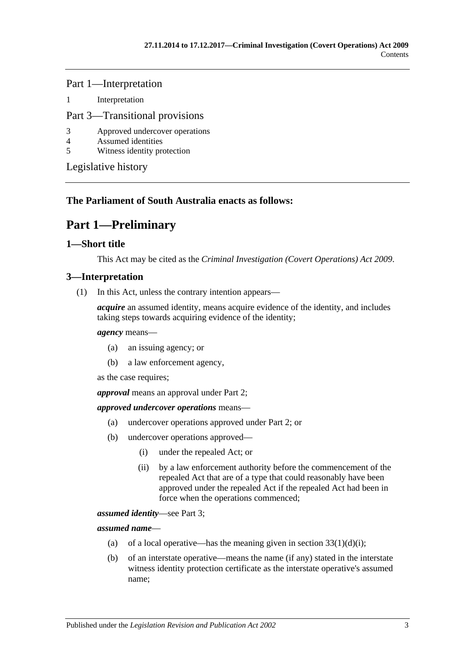Part 1—Interpretation

1 [Interpretation](#page-28-2)

#### Part 3—Transitional provisions

- 3 [Approved undercover operations](#page-28-3)
- 4 [Assumed identities](#page-28-4)
- 5 [Witness identity protection](#page-29-0)

[Legislative history](#page-30-0)

## <span id="page-2-0"></span>**The Parliament of South Australia enacts as follows:**

# **Part 1—Preliminary**

#### <span id="page-2-1"></span>**1—Short title**

This Act may be cited as the *Criminal Investigation (Covert Operations) Act 2009*.

## <span id="page-2-2"></span>**3—Interpretation**

(1) In this Act, unless the contrary intention appears—

*acquire* an assumed identity, means acquire evidence of the identity, and includes taking steps towards acquiring evidence of the identity;

#### *agency* means—

- (a) an issuing agency; or
- (b) a law enforcement agency,

as the case requires;

*approval* means an approval under [Part 2;](#page-6-0)

#### *approved undercover operations* means—

- (a) undercover operations approved under [Part 2;](#page-6-0) or
- (b) undercover operations approved—
	- (i) under the repealed Act; or
	- (ii) by a law enforcement authority before the commencement of the repealed Act that are of a type that could reasonably have been approved under the repealed Act if the repealed Act had been in force when the operations commenced;

*assumed identity*—see [Part 3;](#page-8-0)

*assumed name*—

- (a) of a local operative—has the meaning given in section  $33(1)(d)(i)$ ;
- (b) of an interstate operative—means the name (if any) stated in the interstate witness identity protection certificate as the interstate operative's assumed name;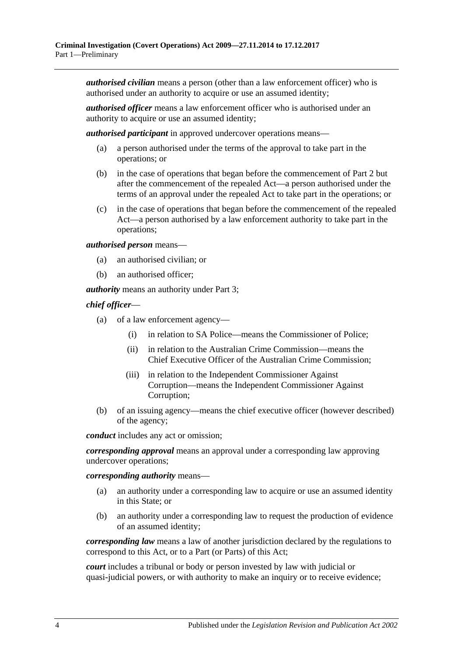*authorised civilian* means a person (other than a law enforcement officer) who is authorised under an authority to acquire or use an assumed identity;

*authorised officer* means a law enforcement officer who is authorised under an authority to acquire or use an assumed identity;

*authorised participant* in approved undercover operations means—

- (a) a person authorised under the terms of the approval to take part in the operations; or
- (b) in the case of operations that began before the commencement of [Part 2](#page-6-0) but after the commencement of the repealed Act—a person authorised under the terms of an approval under the repealed Act to take part in the operations; or
- (c) in the case of operations that began before the commencement of the repealed Act—a person authorised by a law enforcement authority to take part in the operations;

*authorised person* means—

- (a) an authorised civilian; or
- (b) an authorised officer;

*authority* means an authority under [Part 3;](#page-8-0)

#### *chief officer*—

- (a) of a law enforcement agency—
	- (i) in relation to SA Police—means the Commissioner of Police;
	- (ii) in relation to the Australian Crime Commission—means the Chief Executive Officer of the Australian Crime Commission;
	- (iii) in relation to the Independent Commissioner Against Corruption—means the Independent Commissioner Against Corruption;
- (b) of an issuing agency—means the chief executive officer (however described) of the agency;

*conduct* includes any act or omission;

*corresponding approval* means an approval under a corresponding law approving undercover operations;

*corresponding authority* means—

- (a) an authority under a corresponding law to acquire or use an assumed identity in this State; or
- (b) an authority under a corresponding law to request the production of evidence of an assumed identity;

*corresponding law* means a law of another jurisdiction declared by the regulations to correspond to this Act, or to a Part (or Parts) of this Act;

*court* includes a tribunal or body or person invested by law with judicial or quasi-judicial powers, or with authority to make an inquiry or to receive evidence;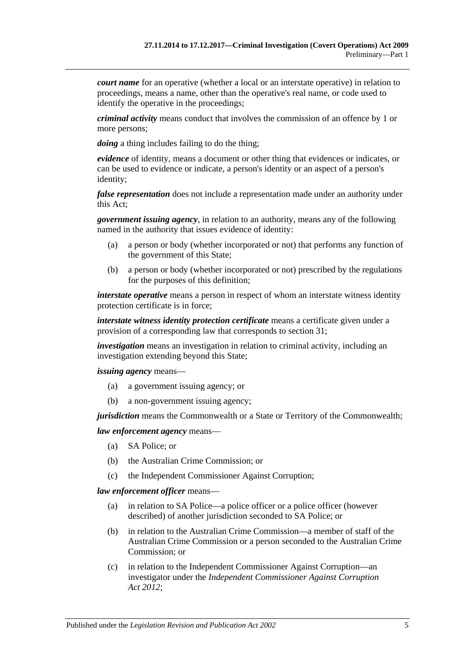*court name* for an operative (whether a local or an interstate operative) in relation to proceedings, means a name, other than the operative's real name, or code used to identify the operative in the proceedings;

*criminal activity* means conduct that involves the commission of an offence by 1 or more persons;

*doing* a thing includes failing to do the thing;

*evidence* of identity, means a document or other thing that evidences or indicates, or can be used to evidence or indicate, a person's identity or an aspect of a person's identity;

*false representation* does not include a representation made under an authority under this Act;

*government issuing agency*, in relation to an authority, means any of the following named in the authority that issues evidence of identity:

- (a) a person or body (whether incorporated or not) that performs any function of the government of this State;
- (b) a person or body (whether incorporated or not) prescribed by the regulations for the purposes of this definition;

*interstate operative* means a person in respect of whom an interstate witness identity protection certificate is in force;

*interstate witness identity protection certificate* means a certificate given under a provision of a corresponding law that corresponds to [section](#page-18-4) 31;

*investigation* means an investigation in relation to criminal activity, including an investigation extending beyond this State;

*issuing agency* means—

- (a) a government issuing agency; or
- (b) a non-government issuing agency;

*jurisdiction* means the Commonwealth or a State or Territory of the Commonwealth;

#### *law enforcement agency* means—

- (a) SA Police; or
- (b) the Australian Crime Commission; or
- (c) the Independent Commissioner Against Corruption;

#### *law enforcement officer* means—

- (a) in relation to SA Police—a police officer or a police officer (however described) of another jurisdiction seconded to SA Police; or
- (b) in relation to the Australian Crime Commission—a member of staff of the Australian Crime Commission or a person seconded to the Australian Crime Commission; or
- (c) in relation to the Independent Commissioner Against Corruption—an investigator under the *[Independent Commissioner Against Corruption](http://www.legislation.sa.gov.au/index.aspx?action=legref&type=act&legtitle=Independent%20Commissioner%20Against%20Corruption%20Act%202012)  Act [2012](http://www.legislation.sa.gov.au/index.aspx?action=legref&type=act&legtitle=Independent%20Commissioner%20Against%20Corruption%20Act%202012)*;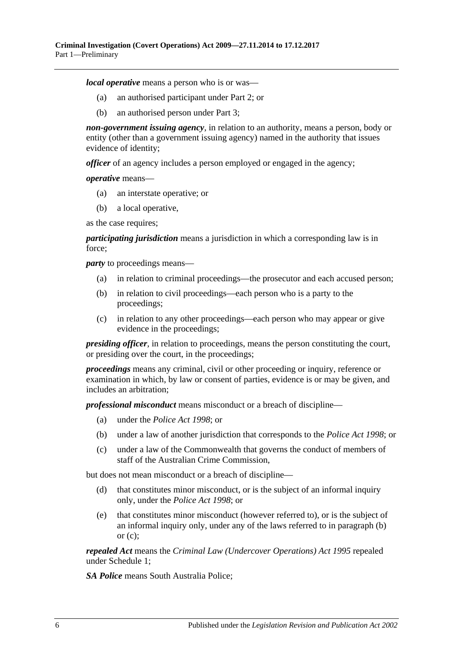*local operative* means a person who is or was—

- (a) an authorised participant under [Part 2;](#page-6-0) or
- (b) an authorised person under [Part 3;](#page-8-0)

*non-government issuing agency*, in relation to an authority, means a person, body or entity (other than a government issuing agency) named in the authority that issues evidence of identity;

*officer* of an agency includes a person employed or engaged in the agency;

*operative* means—

- (a) an interstate operative; or
- (b) a local operative,

as the case requires;

*participating jurisdiction* means a jurisdiction in which a corresponding law is in force;

<span id="page-5-0"></span>*party* to proceedings means—

- (a) in relation to criminal proceedings—the prosecutor and each accused person;
- (b) in relation to civil proceedings—each person who is a party to the proceedings;
- <span id="page-5-1"></span>(c) in relation to any other proceedings—each person who may appear or give evidence in the proceedings;

*presiding officer*, in relation to proceedings, means the person constituting the court, or presiding over the court, in the proceedings;

*proceedings* means any criminal, civil or other proceeding or inquiry, reference or examination in which, by law or consent of parties, evidence is or may be given, and includes an arbitration;

*professional misconduct* means misconduct or a breach of discipline—

- (a) under the *[Police Act](http://www.legislation.sa.gov.au/index.aspx?action=legref&type=act&legtitle=Police%20Act%201998) 1998*; or
- (b) under a law of another jurisdiction that corresponds to the *[Police Act](http://www.legislation.sa.gov.au/index.aspx?action=legref&type=act&legtitle=Police%20Act%201998) 1998*; or
- (c) under a law of the Commonwealth that governs the conduct of members of staff of the Australian Crime Commission,

but does not mean misconduct or a breach of discipline—

- (d) that constitutes minor misconduct, or is the subject of an informal inquiry only, under the *[Police Act](http://www.legislation.sa.gov.au/index.aspx?action=legref&type=act&legtitle=Police%20Act%201998) 1998*; or
- (e) that constitutes minor misconduct (however referred to), or is the subject of an informal inquiry only, under any of the laws referred to in [paragraph](#page-5-0) (b) or  $(c)$ :

*repealed Act* means the *Criminal [Law \(Undercover Operations\) Act](http://www.legislation.sa.gov.au/index.aspx?action=legref&type=act&legtitle=Criminal%20Law%20(Undercover%20Operations)%20Act%201995) 1995* repealed under [Schedule 1;](#page-28-1)

*SA Police* means South Australia Police;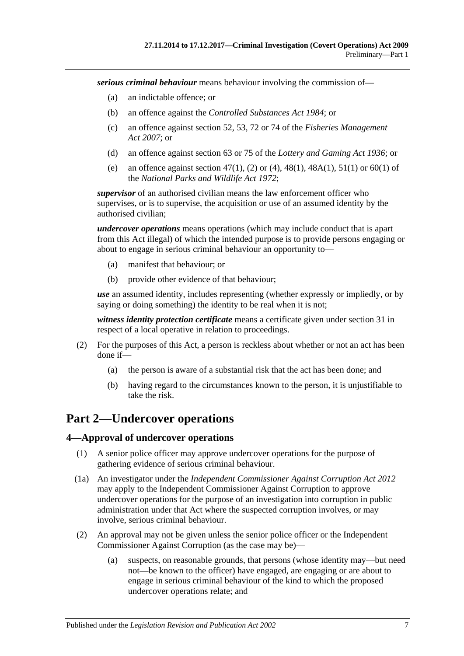*serious criminal behaviour* means behaviour involving the commission of—

- (a) an indictable offence; or
- (b) an offence against the *[Controlled Substances Act](http://www.legislation.sa.gov.au/index.aspx?action=legref&type=act&legtitle=Controlled%20Substances%20Act%201984) 1984*; or
- (c) an offence against section 52, 53, 72 or 74 of the *[Fisheries Management](http://www.legislation.sa.gov.au/index.aspx?action=legref&type=act&legtitle=Fisheries%20Management%20Act%202007)  Act [2007](http://www.legislation.sa.gov.au/index.aspx?action=legref&type=act&legtitle=Fisheries%20Management%20Act%202007)*; or
- (d) an offence against section 63 or 75 of the *[Lottery and Gaming Act](http://www.legislation.sa.gov.au/index.aspx?action=legref&type=act&legtitle=Lottery%20and%20Gaming%20Act%201936) 1936*; or
- (e) an offence against section 47(1), (2) or (4), 48(1), 48A(1), 51(1) or 60(1) of the *[National Parks and Wildlife Act](http://www.legislation.sa.gov.au/index.aspx?action=legref&type=act&legtitle=National%20Parks%20and%20Wildlife%20Act%201972) 1972*;

*supervisor* of an authorised civilian means the law enforcement officer who supervises, or is to supervise, the acquisition or use of an assumed identity by the authorised civilian;

*undercover operations* means operations (which may include conduct that is apart from this Act illegal) of which the intended purpose is to provide persons engaging or about to engage in serious criminal behaviour an opportunity to—

- (a) manifest that behaviour; or
- (b) provide other evidence of that behaviour;

*use* an assumed identity, includes representing (whether expressly or impliedly, or by saying or doing something) the identity to be real when it is not;

*witness identity protection certificate* means a certificate given under [section](#page-18-4) 31 in respect of a local operative in relation to proceedings.

- (2) For the purposes of this Act, a person is reckless about whether or not an act has been done if—
	- (a) the person is aware of a substantial risk that the act has been done; and
	- (b) having regard to the circumstances known to the person, it is unjustifiable to take the risk.

# <span id="page-6-0"></span>**Part 2—Undercover operations**

#### <span id="page-6-1"></span>**4—Approval of undercover operations**

- (1) A senior police officer may approve undercover operations for the purpose of gathering evidence of serious criminal behaviour.
- (1a) An investigator under the *[Independent Commissioner Against Corruption Act](http://www.legislation.sa.gov.au/index.aspx?action=legref&type=act&legtitle=Independent%20Commissioner%20Against%20Corruption%20Act%202012) 2012* may apply to the Independent Commissioner Against Corruption to approve undercover operations for the purpose of an investigation into corruption in public administration under that Act where the suspected corruption involves, or may involve, serious criminal behaviour.
- (2) An approval may not be given unless the senior police officer or the Independent Commissioner Against Corruption (as the case may be)—
	- (a) suspects, on reasonable grounds, that persons (whose identity may—but need not—be known to the officer) have engaged, are engaging or are about to engage in serious criminal behaviour of the kind to which the proposed undercover operations relate; and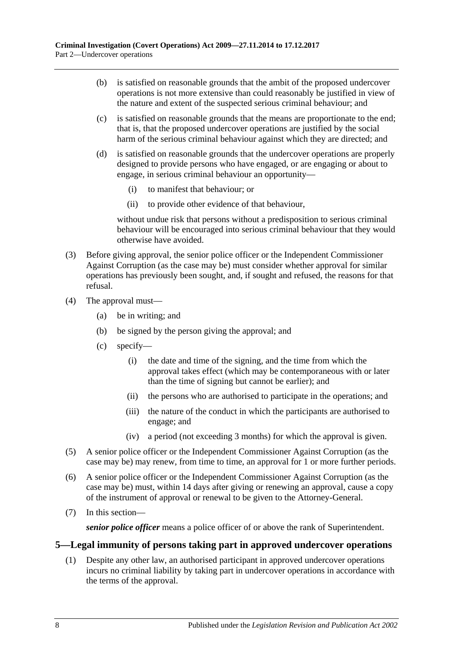- (b) is satisfied on reasonable grounds that the ambit of the proposed undercover operations is not more extensive than could reasonably be justified in view of the nature and extent of the suspected serious criminal behaviour; and
- (c) is satisfied on reasonable grounds that the means are proportionate to the end; that is, that the proposed undercover operations are justified by the social harm of the serious criminal behaviour against which they are directed; and
- (d) is satisfied on reasonable grounds that the undercover operations are properly designed to provide persons who have engaged, or are engaging or about to engage, in serious criminal behaviour an opportunity—
	- (i) to manifest that behaviour; or
	- (ii) to provide other evidence of that behaviour,

without undue risk that persons without a predisposition to serious criminal behaviour will be encouraged into serious criminal behaviour that they would otherwise have avoided.

- (3) Before giving approval, the senior police officer or the Independent Commissioner Against Corruption (as the case may be) must consider whether approval for similar operations has previously been sought, and, if sought and refused, the reasons for that refusal.
- (4) The approval must—
	- (a) be in writing; and
	- (b) be signed by the person giving the approval; and
	- (c) specify—
		- (i) the date and time of the signing, and the time from which the approval takes effect (which may be contemporaneous with or later than the time of signing but cannot be earlier); and
		- (ii) the persons who are authorised to participate in the operations; and
		- (iii) the nature of the conduct in which the participants are authorised to engage; and
		- (iv) a period (not exceeding 3 months) for which the approval is given.
- (5) A senior police officer or the Independent Commissioner Against Corruption (as the case may be) may renew, from time to time, an approval for 1 or more further periods.
- (6) A senior police officer or the Independent Commissioner Against Corruption (as the case may be) must, within 14 days after giving or renewing an approval, cause a copy of the instrument of approval or renewal to be given to the Attorney-General.
- (7) In this section—

*senior police officer* means a police officer of or above the rank of Superintendent.

#### <span id="page-7-0"></span>**5—Legal immunity of persons taking part in approved undercover operations**

(1) Despite any other law, an authorised participant in approved undercover operations incurs no criminal liability by taking part in undercover operations in accordance with the terms of the approval.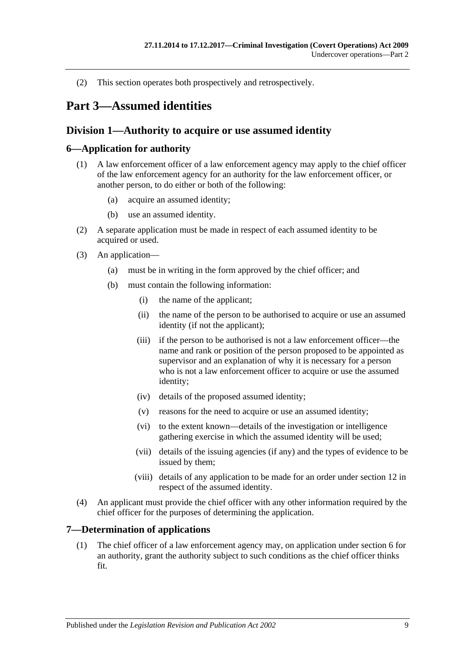(2) This section operates both prospectively and retrospectively.

# <span id="page-8-0"></span>**Part 3—Assumed identities**

## <span id="page-8-1"></span>**Division 1—Authority to acquire or use assumed identity**

## <span id="page-8-2"></span>**6—Application for authority**

- (1) A law enforcement officer of a law enforcement agency may apply to the chief officer of the law enforcement agency for an authority for the law enforcement officer, or another person, to do either or both of the following:
	- (a) acquire an assumed identity;
	- (b) use an assumed identity.
- (2) A separate application must be made in respect of each assumed identity to be acquired or used.
- (3) An application—
	- (a) must be in writing in the form approved by the chief officer; and
	- (b) must contain the following information:
		- (i) the name of the applicant;
		- (ii) the name of the person to be authorised to acquire or use an assumed identity (if not the applicant);
		- (iii) if the person to be authorised is not a law enforcement officer—the name and rank or position of the person proposed to be appointed as supervisor and an explanation of why it is necessary for a person who is not a law enforcement officer to acquire or use the assumed identity;
		- (iv) details of the proposed assumed identity;
		- (v) reasons for the need to acquire or use an assumed identity;
		- (vi) to the extent known—details of the investigation or intelligence gathering exercise in which the assumed identity will be used;
		- (vii) details of the issuing agencies (if any) and the types of evidence to be issued by them;
		- (viii) details of any application to be made for an order under [section](#page-11-0) 12 in respect of the assumed identity.
- (4) An applicant must provide the chief officer with any other information required by the chief officer for the purposes of determining the application.

## <span id="page-8-3"></span>**7—Determination of applications**

(1) The chief officer of a law enforcement agency may, on application under [section](#page-8-2) 6 for an authority, grant the authority subject to such conditions as the chief officer thinks fit.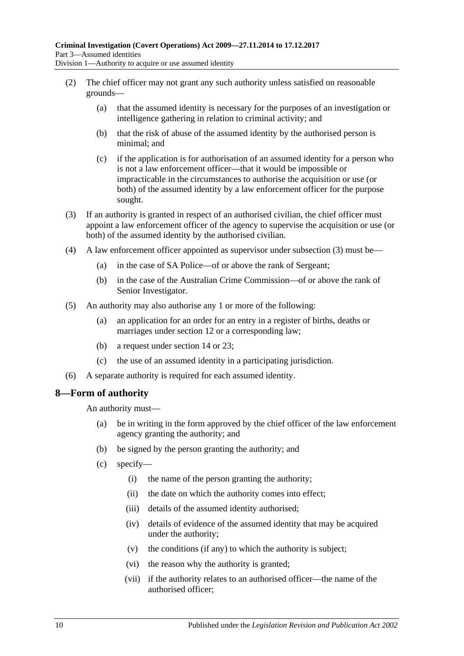- (2) The chief officer may not grant any such authority unless satisfied on reasonable grounds—
	- (a) that the assumed identity is necessary for the purposes of an investigation or intelligence gathering in relation to criminal activity; and
	- (b) that the risk of abuse of the assumed identity by the authorised person is minimal; and
	- (c) if the application is for authorisation of an assumed identity for a person who is not a law enforcement officer—that it would be impossible or impracticable in the circumstances to authorise the acquisition or use (or both) of the assumed identity by a law enforcement officer for the purpose sought.
- <span id="page-9-1"></span>(3) If an authority is granted in respect of an authorised civilian, the chief officer must appoint a law enforcement officer of the agency to supervise the acquisition or use (or both) of the assumed identity by the authorised civilian.
- (4) A law enforcement officer appointed as supervisor under [subsection](#page-9-1) (3) must be—
	- (a) in the case of SA Police—of or above the rank of Sergeant;
	- (b) in the case of the Australian Crime Commission—of or above the rank of Senior Investigator.
- (5) An authority may also authorise any 1 or more of the following:
	- (a) an application for an order for an entry in a register of births, deaths or marriages under [section](#page-11-0) 12 or a corresponding law;
	- (b) a request under [section](#page-12-1) 14 or [23;](#page-14-3)
	- (c) the use of an assumed identity in a participating jurisdiction.
- (6) A separate authority is required for each assumed identity.

## <span id="page-9-0"></span>**8—Form of authority**

An authority must—

- (a) be in writing in the form approved by the chief officer of the law enforcement agency granting the authority; and
- (b) be signed by the person granting the authority; and
- (c) specify—
	- (i) the name of the person granting the authority;
	- (ii) the date on which the authority comes into effect;
	- (iii) details of the assumed identity authorised;
	- (iv) details of evidence of the assumed identity that may be acquired under the authority;
	- (v) the conditions (if any) to which the authority is subject;
	- (vi) the reason why the authority is granted;
	- (vii) if the authority relates to an authorised officer—the name of the authorised officer;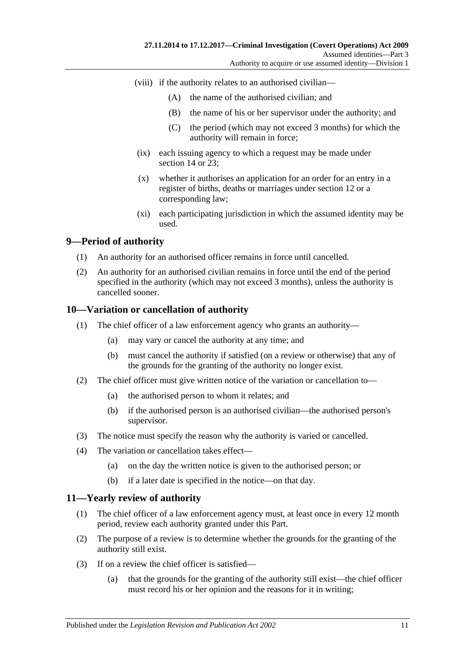- (viii) if the authority relates to an authorised civilian—
	- (A) the name of the authorised civilian; and
	- (B) the name of his or her supervisor under the authority; and
	- (C) the period (which may not exceed 3 months) for which the authority will remain in force;
- (ix) each issuing agency to which a request may be made under [section](#page-12-1) 14 or [23;](#page-14-3)
- (x) whether it authorises an application for an order for an entry in a register of births, deaths or marriages under [section](#page-11-0) 12 or a corresponding law;
- (xi) each participating jurisdiction in which the assumed identity may be used.

## <span id="page-10-0"></span>**9—Period of authority**

- (1) An authority for an authorised officer remains in force until cancelled.
- (2) An authority for an authorised civilian remains in force until the end of the period specified in the authority (which may not exceed 3 months), unless the authority is cancelled sooner.

#### <span id="page-10-1"></span>**10—Variation or cancellation of authority**

- (1) The chief officer of a law enforcement agency who grants an authority—
	- (a) may vary or cancel the authority at any time; and
	- (b) must cancel the authority if satisfied (on a review or otherwise) that any of the grounds for the granting of the authority no longer exist.
- (2) The chief officer must give written notice of the variation or cancellation to—
	- (a) the authorised person to whom it relates; and
	- (b) if the authorised person is an authorised civilian—the authorised person's supervisor.
- (3) The notice must specify the reason why the authority is varied or cancelled.
- (4) The variation or cancellation takes effect—
	- (a) on the day the written notice is given to the authorised person; or
	- (b) if a later date is specified in the notice—on that day.

#### <span id="page-10-2"></span>**11—Yearly review of authority**

- (1) The chief officer of a law enforcement agency must, at least once in every 12 month period, review each authority granted under this Part.
- (2) The purpose of a review is to determine whether the grounds for the granting of the authority still exist.
- (3) If on a review the chief officer is satisfied—
	- (a) that the grounds for the granting of the authority still exist—the chief officer must record his or her opinion and the reasons for it in writing;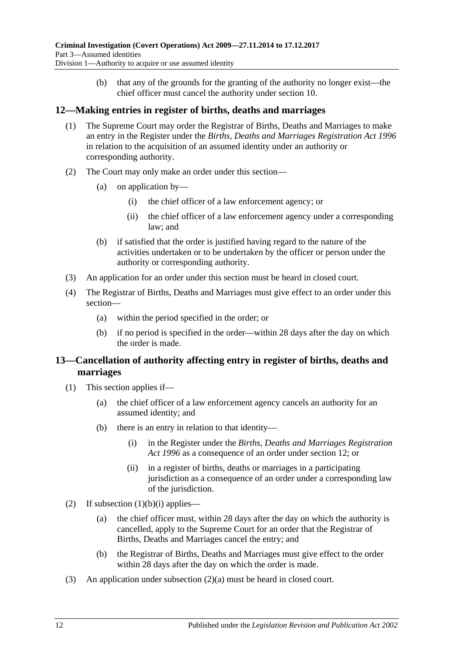(b) that any of the grounds for the granting of the authority no longer exist—the chief officer must cancel the authority under [section](#page-10-1) 10.

## <span id="page-11-0"></span>**12—Making entries in register of births, deaths and marriages**

- (1) The Supreme Court may order the Registrar of Births, Deaths and Marriages to make an entry in the Register under the *[Births, Deaths and Marriages Registration Act](http://www.legislation.sa.gov.au/index.aspx?action=legref&type=act&legtitle=Births%20Deaths%20and%20Marriages%20Registration%20Act%201996) 1996* in relation to the acquisition of an assumed identity under an authority or corresponding authority.
- (2) The Court may only make an order under this section—
	- (a) on application by—
		- (i) the chief officer of a law enforcement agency; or
		- (ii) the chief officer of a law enforcement agency under a corresponding law; and
	- (b) if satisfied that the order is justified having regard to the nature of the activities undertaken or to be undertaken by the officer or person under the authority or corresponding authority.
- (3) An application for an order under this section must be heard in closed court.
- (4) The Registrar of Births, Deaths and Marriages must give effect to an order under this section—
	- (a) within the period specified in the order; or
	- (b) if no period is specified in the order—within 28 days after the day on which the order is made.

## <span id="page-11-1"></span>**13—Cancellation of authority affecting entry in register of births, deaths and marriages**

- <span id="page-11-2"></span>(1) This section applies if—
	- (a) the chief officer of a law enforcement agency cancels an authority for an assumed identity; and
	- (b) there is an entry in relation to that identity—
		- (i) in the Register under the *[Births, Deaths and Marriages Registration](http://www.legislation.sa.gov.au/index.aspx?action=legref&type=act&legtitle=Births%20Deaths%20and%20Marriages%20Registration%20Act%201996)  Act [1996](http://www.legislation.sa.gov.au/index.aspx?action=legref&type=act&legtitle=Births%20Deaths%20and%20Marriages%20Registration%20Act%201996)* as a consequence of an order under [section](#page-11-0) 12; or
		- (ii) in a register of births, deaths or marriages in a participating jurisdiction as a consequence of an order under a corresponding law of the jurisdiction.
- <span id="page-11-4"></span><span id="page-11-3"></span>(2) If [subsection](#page-11-2)  $(1)(b)(i)$  applies—
	- (a) the chief officer must, within 28 days after the day on which the authority is cancelled, apply to the Supreme Court for an order that the Registrar of Births, Deaths and Marriages cancel the entry; and
	- (b) the Registrar of Births, Deaths and Marriages must give effect to the order within 28 days after the day on which the order is made.
- (3) An application under [subsection](#page-11-3) (2)(a) must be heard in closed court.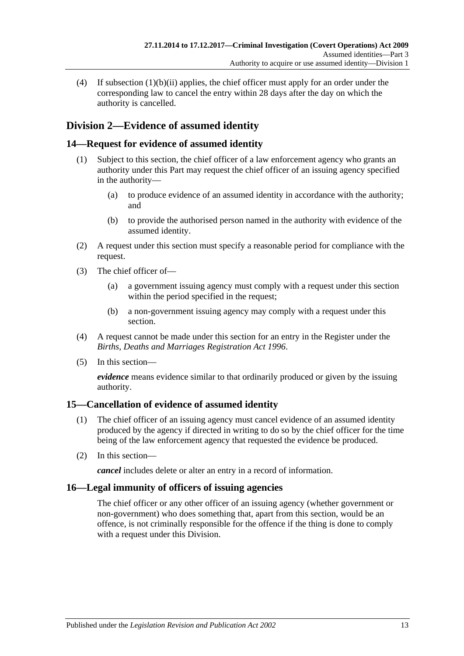(4) If [subsection](#page-11-4) (1)(b)(ii) applies, the chief officer must apply for an order under the corresponding law to cancel the entry within 28 days after the day on which the authority is cancelled.

## <span id="page-12-0"></span>**Division 2—Evidence of assumed identity**

## <span id="page-12-1"></span>**14—Request for evidence of assumed identity**

- (1) Subject to this section, the chief officer of a law enforcement agency who grants an authority under this Part may request the chief officer of an issuing agency specified in the authority—
	- (a) to produce evidence of an assumed identity in accordance with the authority; and
	- (b) to provide the authorised person named in the authority with evidence of the assumed identity.
- (2) A request under this section must specify a reasonable period for compliance with the request.
- (3) The chief officer of—
	- (a) a government issuing agency must comply with a request under this section within the period specified in the request;
	- (b) a non-government issuing agency may comply with a request under this section.
- (4) A request cannot be made under this section for an entry in the Register under the *[Births, Deaths and Marriages Registration Act](http://www.legislation.sa.gov.au/index.aspx?action=legref&type=act&legtitle=Births%20Deaths%20and%20Marriages%20Registration%20Act%201996) 1996*.
- (5) In this section—

*evidence* means evidence similar to that ordinarily produced or given by the issuing authority.

## <span id="page-12-2"></span>**15—Cancellation of evidence of assumed identity**

- (1) The chief officer of an issuing agency must cancel evidence of an assumed identity produced by the agency if directed in writing to do so by the chief officer for the time being of the law enforcement agency that requested the evidence be produced.
- (2) In this section—

*cancel* includes delete or alter an entry in a record of information.

## <span id="page-12-3"></span>**16—Legal immunity of officers of issuing agencies**

The chief officer or any other officer of an issuing agency (whether government or non-government) who does something that, apart from this section, would be an offence, is not criminally responsible for the offence if the thing is done to comply with a request under this Division.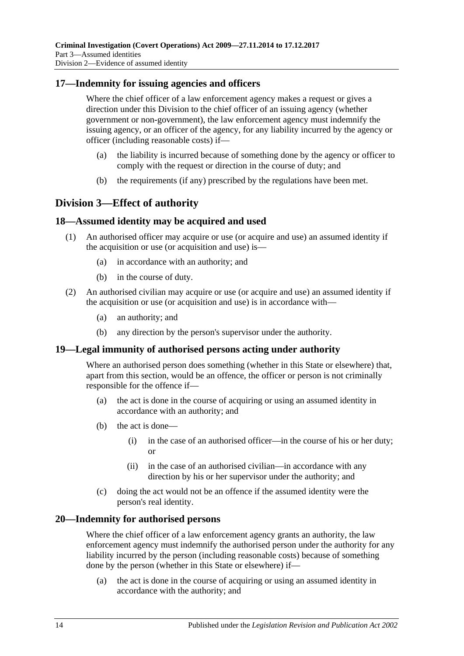## <span id="page-13-0"></span>**17—Indemnity for issuing agencies and officers**

Where the chief officer of a law enforcement agency makes a request or gives a direction under this Division to the chief officer of an issuing agency (whether government or non-government), the law enforcement agency must indemnify the issuing agency, or an officer of the agency, for any liability incurred by the agency or officer (including reasonable costs) if—

- (a) the liability is incurred because of something done by the agency or officer to comply with the request or direction in the course of duty; and
- (b) the requirements (if any) prescribed by the regulations have been met.

## <span id="page-13-1"></span>**Division 3—Effect of authority**

#### <span id="page-13-2"></span>**18—Assumed identity may be acquired and used**

- (1) An authorised officer may acquire or use (or acquire and use) an assumed identity if the acquisition or use (or acquisition and use) is—
	- (a) in accordance with an authority; and
	- (b) in the course of duty.
- (2) An authorised civilian may acquire or use (or acquire and use) an assumed identity if the acquisition or use (or acquisition and use) is in accordance with—
	- (a) an authority; and
	- (b) any direction by the person's supervisor under the authority.

#### <span id="page-13-3"></span>**19—Legal immunity of authorised persons acting under authority**

Where an authorised person does something (whether in this State or elsewhere) that, apart from this section, would be an offence, the officer or person is not criminally responsible for the offence if—

- (a) the act is done in the course of acquiring or using an assumed identity in accordance with an authority; and
- (b) the act is done—
	- (i) in the case of an authorised officer—in the course of his or her duty; or
	- (ii) in the case of an authorised civilian—in accordance with any direction by his or her supervisor under the authority; and
- (c) doing the act would not be an offence if the assumed identity were the person's real identity.

#### <span id="page-13-4"></span>**20—Indemnity for authorised persons**

Where the chief officer of a law enforcement agency grants an authority, the law enforcement agency must indemnify the authorised person under the authority for any liability incurred by the person (including reasonable costs) because of something done by the person (whether in this State or elsewhere) if—

(a) the act is done in the course of acquiring or using an assumed identity in accordance with the authority; and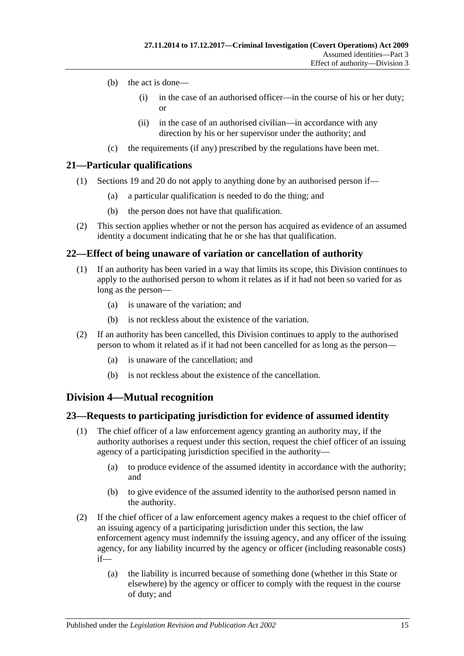- (b) the act is done—
	- (i) in the case of an authorised officer—in the course of his or her duty; or
	- (ii) in the case of an authorised civilian—in accordance with any direction by his or her supervisor under the authority; and
- (c) the requirements (if any) prescribed by the regulations have been met.

## <span id="page-14-0"></span>**21—Particular qualifications**

- (1) [Sections 19](#page-13-3) and [20](#page-13-4) do not apply to anything done by an authorised person if—
	- (a) a particular qualification is needed to do the thing; and
	- (b) the person does not have that qualification.
- (2) This section applies whether or not the person has acquired as evidence of an assumed identity a document indicating that he or she has that qualification.

## <span id="page-14-1"></span>**22—Effect of being unaware of variation or cancellation of authority**

- (1) If an authority has been varied in a way that limits its scope, this Division continues to apply to the authorised person to whom it relates as if it had not been so varied for as long as the person—
	- (a) is unaware of the variation; and
	- (b) is not reckless about the existence of the variation.
- (2) If an authority has been cancelled, this Division continues to apply to the authorised person to whom it related as if it had not been cancelled for as long as the person—
	- (a) is unaware of the cancellation; and
	- (b) is not reckless about the existence of the cancellation.

## <span id="page-14-2"></span>**Division 4—Mutual recognition**

## <span id="page-14-3"></span>**23—Requests to participating jurisdiction for evidence of assumed identity**

- (1) The chief officer of a law enforcement agency granting an authority may, if the authority authorises a request under this section, request the chief officer of an issuing agency of a participating jurisdiction specified in the authority—
	- (a) to produce evidence of the assumed identity in accordance with the authority; and
	- (b) to give evidence of the assumed identity to the authorised person named in the authority.
- (2) If the chief officer of a law enforcement agency makes a request to the chief officer of an issuing agency of a participating jurisdiction under this section, the law enforcement agency must indemnify the issuing agency, and any officer of the issuing agency, for any liability incurred by the agency or officer (including reasonable costs) if—
	- (a) the liability is incurred because of something done (whether in this State or elsewhere) by the agency or officer to comply with the request in the course of duty; and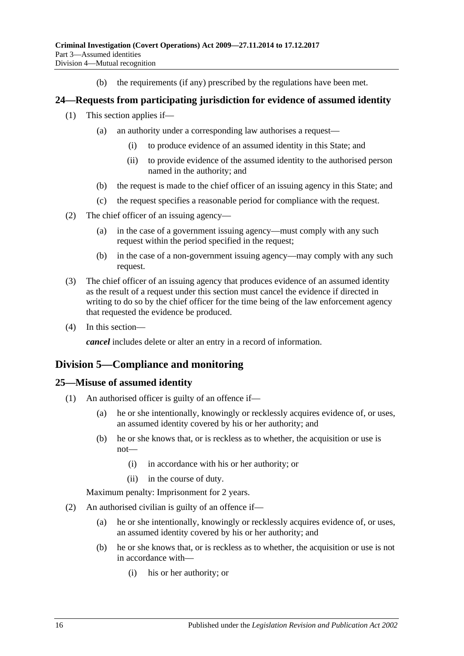(b) the requirements (if any) prescribed by the regulations have been met.

## <span id="page-15-0"></span>**24—Requests from participating jurisdiction for evidence of assumed identity**

- (1) This section applies if—
	- (a) an authority under a corresponding law authorises a request—
		- (i) to produce evidence of an assumed identity in this State; and
		- (ii) to provide evidence of the assumed identity to the authorised person named in the authority; and
	- (b) the request is made to the chief officer of an issuing agency in this State; and
	- (c) the request specifies a reasonable period for compliance with the request.
- (2) The chief officer of an issuing agency—
	- (a) in the case of a government issuing agency—must comply with any such request within the period specified in the request;
	- (b) in the case of a non-government issuing agency—may comply with any such request.
- (3) The chief officer of an issuing agency that produces evidence of an assumed identity as the result of a request under this section must cancel the evidence if directed in writing to do so by the chief officer for the time being of the law enforcement agency that requested the evidence be produced.
- (4) In this section—

*cancel* includes delete or alter an entry in a record of information.

## <span id="page-15-1"></span>**Division 5—Compliance and monitoring**

#### <span id="page-15-2"></span>**25—Misuse of assumed identity**

- (1) An authorised officer is guilty of an offence if—
	- (a) he or she intentionally, knowingly or recklessly acquires evidence of, or uses, an assumed identity covered by his or her authority; and
	- (b) he or she knows that, or is reckless as to whether, the acquisition or use is not—
		- (i) in accordance with his or her authority; or
		- (ii) in the course of duty.

Maximum penalty: Imprisonment for 2 years.

- (2) An authorised civilian is guilty of an offence if—
	- (a) he or she intentionally, knowingly or recklessly acquires evidence of, or uses, an assumed identity covered by his or her authority; and
	- (b) he or she knows that, or is reckless as to whether, the acquisition or use is not in accordance with—
		- (i) his or her authority; or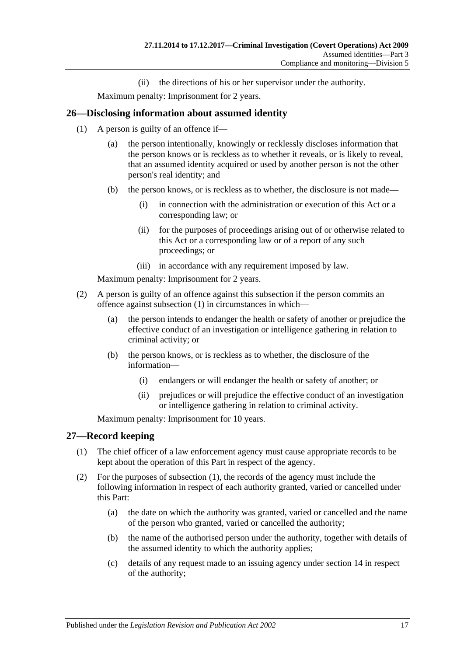(ii) the directions of his or her supervisor under the authority.

Maximum penalty: Imprisonment for 2 years.

## <span id="page-16-2"></span><span id="page-16-0"></span>**26—Disclosing information about assumed identity**

- (1) A person is guilty of an offence if—
	- (a) the person intentionally, knowingly or recklessly discloses information that the person knows or is reckless as to whether it reveals, or is likely to reveal, that an assumed identity acquired or used by another person is not the other person's real identity; and
	- (b) the person knows, or is reckless as to whether, the disclosure is not made—
		- (i) in connection with the administration or execution of this Act or a corresponding law; or
		- (ii) for the purposes of proceedings arising out of or otherwise related to this Act or a corresponding law or of a report of any such proceedings; or
		- (iii) in accordance with any requirement imposed by law.

Maximum penalty: Imprisonment for 2 years.

- (2) A person is guilty of an offence against this subsection if the person commits an offence against [subsection](#page-16-2) (1) in circumstances in which—
	- (a) the person intends to endanger the health or safety of another or prejudice the effective conduct of an investigation or intelligence gathering in relation to criminal activity; or
	- (b) the person knows, or is reckless as to whether, the disclosure of the information—
		- (i) endangers or will endanger the health or safety of another; or
		- (ii) prejudices or will prejudice the effective conduct of an investigation or intelligence gathering in relation to criminal activity.

Maximum penalty: Imprisonment for 10 years.

#### <span id="page-16-3"></span><span id="page-16-1"></span>**27—Record keeping**

- (1) The chief officer of a law enforcement agency must cause appropriate records to be kept about the operation of this Part in respect of the agency.
- (2) For the purposes of [subsection](#page-16-3) (1), the records of the agency must include the following information in respect of each authority granted, varied or cancelled under this Part:
	- (a) the date on which the authority was granted, varied or cancelled and the name of the person who granted, varied or cancelled the authority;
	- (b) the name of the authorised person under the authority, together with details of the assumed identity to which the authority applies;
	- (c) details of any request made to an issuing agency under [section](#page-12-1) 14 in respect of the authority;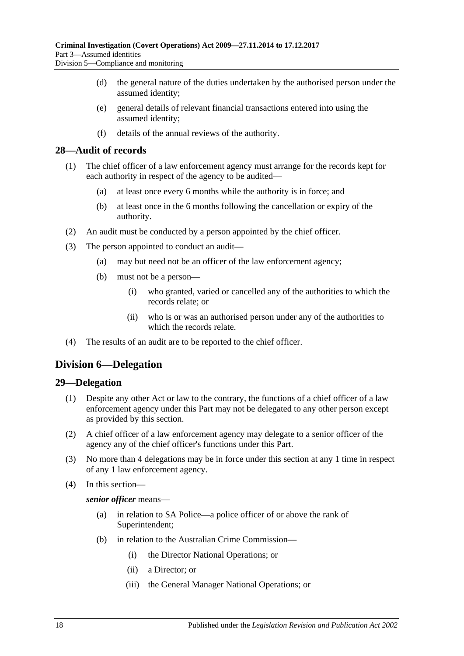- (d) the general nature of the duties undertaken by the authorised person under the assumed identity;
- (e) general details of relevant financial transactions entered into using the assumed identity;
- (f) details of the annual reviews of the authority.

#### <span id="page-17-0"></span>**28—Audit of records**

- (1) The chief officer of a law enforcement agency must arrange for the records kept for each authority in respect of the agency to be audited—
	- (a) at least once every 6 months while the authority is in force; and
	- (b) at least once in the 6 months following the cancellation or expiry of the authority.
- (2) An audit must be conducted by a person appointed by the chief officer.
- (3) The person appointed to conduct an audit—
	- (a) may but need not be an officer of the law enforcement agency;
	- (b) must not be a person—
		- (i) who granted, varied or cancelled any of the authorities to which the records relate; or
		- (ii) who is or was an authorised person under any of the authorities to which the records relate.
- (4) The results of an audit are to be reported to the chief officer.

## <span id="page-17-1"></span>**Division 6—Delegation**

#### <span id="page-17-2"></span>**29—Delegation**

- (1) Despite any other Act or law to the contrary, the functions of a chief officer of a law enforcement agency under this Part may not be delegated to any other person except as provided by this section.
- (2) A chief officer of a law enforcement agency may delegate to a senior officer of the agency any of the chief officer's functions under this Part.
- (3) No more than 4 delegations may be in force under this section at any 1 time in respect of any 1 law enforcement agency.
- (4) In this section—

#### *senior officer* means—

- (a) in relation to SA Police—a police officer of or above the rank of Superintendent;
- (b) in relation to the Australian Crime Commission—
	- (i) the Director National Operations; or
	- (ii) a Director; or
	- (iii) the General Manager National Operations; or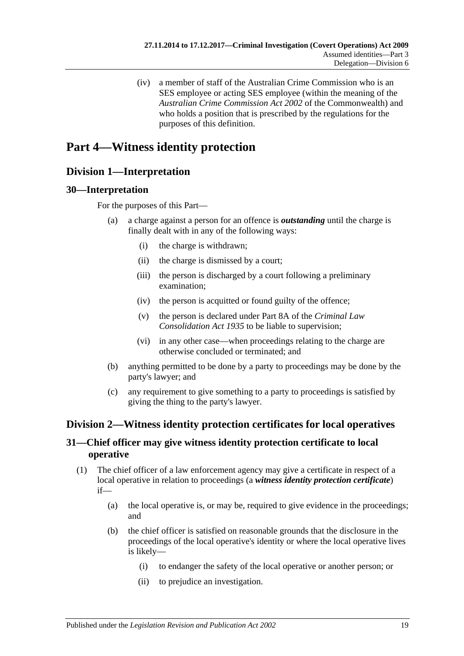(iv) a member of staff of the Australian Crime Commission who is an SES employee or acting SES employee (within the meaning of the *Australian Crime Commission Act 2002* of the Commonwealth) and who holds a position that is prescribed by the regulations for the purposes of this definition.

# <span id="page-18-0"></span>**Part 4—Witness identity protection**

## <span id="page-18-1"></span>**Division 1—Interpretation**

## <span id="page-18-2"></span>**30—Interpretation**

For the purposes of this Part—

- (a) a charge against a person for an offence is *outstanding* until the charge is finally dealt with in any of the following ways:
	- (i) the charge is withdrawn;
	- (ii) the charge is dismissed by a court;
	- (iii) the person is discharged by a court following a preliminary examination;
	- (iv) the person is acquitted or found guilty of the offence;
	- (v) the person is declared under Part 8A of the *[Criminal Law](http://www.legislation.sa.gov.au/index.aspx?action=legref&type=act&legtitle=Criminal%20Law%20Consolidation%20Act%201935)  [Consolidation Act](http://www.legislation.sa.gov.au/index.aspx?action=legref&type=act&legtitle=Criminal%20Law%20Consolidation%20Act%201935) 1935* to be liable to supervision;
	- (vi) in any other case—when proceedings relating to the charge are otherwise concluded or terminated; and
- (b) anything permitted to be done by a party to proceedings may be done by the party's lawyer; and
- (c) any requirement to give something to a party to proceedings is satisfied by giving the thing to the party's lawyer.

## <span id="page-18-3"></span>**Division 2—Witness identity protection certificates for local operatives**

## <span id="page-18-4"></span>**31—Chief officer may give witness identity protection certificate to local operative**

- <span id="page-18-5"></span>(1) The chief officer of a law enforcement agency may give a certificate in respect of a local operative in relation to proceedings (a *witness identity protection certificate*) if—
	- (a) the local operative is, or may be, required to give evidence in the proceedings; and
	- (b) the chief officer is satisfied on reasonable grounds that the disclosure in the proceedings of the local operative's identity or where the local operative lives is likely—
		- (i) to endanger the safety of the local operative or another person; or
		- (ii) to prejudice an investigation.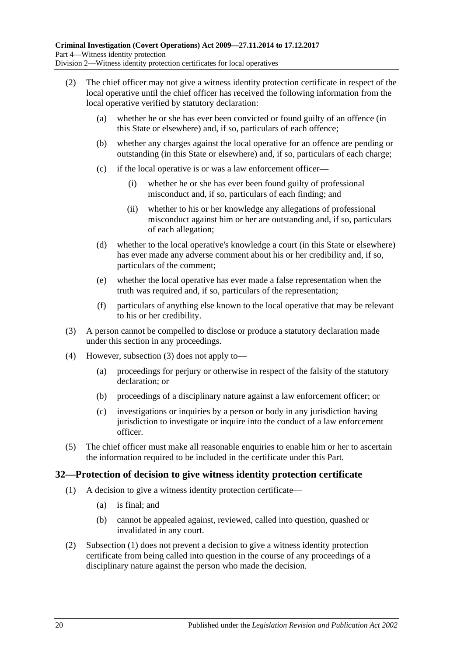- (2) The chief officer may not give a witness identity protection certificate in respect of the local operative until the chief officer has received the following information from the local operative verified by statutory declaration:
	- (a) whether he or she has ever been convicted or found guilty of an offence (in this State or elsewhere) and, if so, particulars of each offence;
	- (b) whether any charges against the local operative for an offence are pending or outstanding (in this State or elsewhere) and, if so, particulars of each charge;
	- (c) if the local operative is or was a law enforcement officer—
		- (i) whether he or she has ever been found guilty of professional misconduct and, if so, particulars of each finding; and
		- (ii) whether to his or her knowledge any allegations of professional misconduct against him or her are outstanding and, if so, particulars of each allegation;
	- (d) whether to the local operative's knowledge a court (in this State or elsewhere) has ever made any adverse comment about his or her credibility and, if so, particulars of the comment;
	- (e) whether the local operative has ever made a false representation when the truth was required and, if so, particulars of the representation;
	- (f) particulars of anything else known to the local operative that may be relevant to his or her credibility.
- <span id="page-19-1"></span>(3) A person cannot be compelled to disclose or produce a statutory declaration made under this section in any proceedings.
- (4) However, [subsection \(3\)](#page-19-1) does not apply to—
	- (a) proceedings for perjury or otherwise in respect of the falsity of the statutory declaration; or
	- (b) proceedings of a disciplinary nature against a law enforcement officer; or
	- (c) investigations or inquiries by a person or body in any jurisdiction having jurisdiction to investigate or inquire into the conduct of a law enforcement officer.
- (5) The chief officer must make all reasonable enquiries to enable him or her to ascertain the information required to be included in the certificate under this Part.

## <span id="page-19-2"></span><span id="page-19-0"></span>**32—Protection of decision to give witness identity protection certificate**

- (1) A decision to give a witness identity protection certificate—
	- (a) is final; and
	- (b) cannot be appealed against, reviewed, called into question, quashed or invalidated in any court.
- (2) [Subsection \(1\)](#page-19-2) does not prevent a decision to give a witness identity protection certificate from being called into question in the course of any proceedings of a disciplinary nature against the person who made the decision.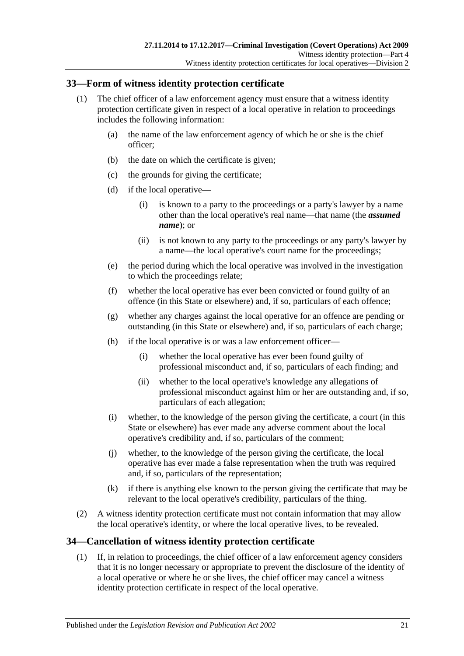## <span id="page-20-0"></span>**33—Form of witness identity protection certificate**

- <span id="page-20-2"></span>(1) The chief officer of a law enforcement agency must ensure that a witness identity protection certificate given in respect of a local operative in relation to proceedings includes the following information:
	- (a) the name of the law enforcement agency of which he or she is the chief officer;
	- (b) the date on which the certificate is given;
	- (c) the grounds for giving the certificate;
	- (d) if the local operative—
		- (i) is known to a party to the proceedings or a party's lawyer by a name other than the local operative's real name—that name (the *assumed name*); or
		- (ii) is not known to any party to the proceedings or any party's lawyer by a name—the local operative's court name for the proceedings;
	- (e) the period during which the local operative was involved in the investigation to which the proceedings relate;
	- (f) whether the local operative has ever been convicted or found guilty of an offence (in this State or elsewhere) and, if so, particulars of each offence;
	- (g) whether any charges against the local operative for an offence are pending or outstanding (in this State or elsewhere) and, if so, particulars of each charge;
	- (h) if the local operative is or was a law enforcement officer—
		- (i) whether the local operative has ever been found guilty of professional misconduct and, if so, particulars of each finding; and
		- (ii) whether to the local operative's knowledge any allegations of professional misconduct against him or her are outstanding and, if so, particulars of each allegation;
	- (i) whether, to the knowledge of the person giving the certificate, a court (in this State or elsewhere) has ever made any adverse comment about the local operative's credibility and, if so, particulars of the comment;
	- (j) whether, to the knowledge of the person giving the certificate, the local operative has ever made a false representation when the truth was required and, if so, particulars of the representation;
	- (k) if there is anything else known to the person giving the certificate that may be relevant to the local operative's credibility, particulars of the thing.
- (2) A witness identity protection certificate must not contain information that may allow the local operative's identity, or where the local operative lives, to be revealed.

## <span id="page-20-1"></span>**34—Cancellation of witness identity protection certificate**

(1) If, in relation to proceedings, the chief officer of a law enforcement agency considers that it is no longer necessary or appropriate to prevent the disclosure of the identity of a local operative or where he or she lives, the chief officer may cancel a witness identity protection certificate in respect of the local operative.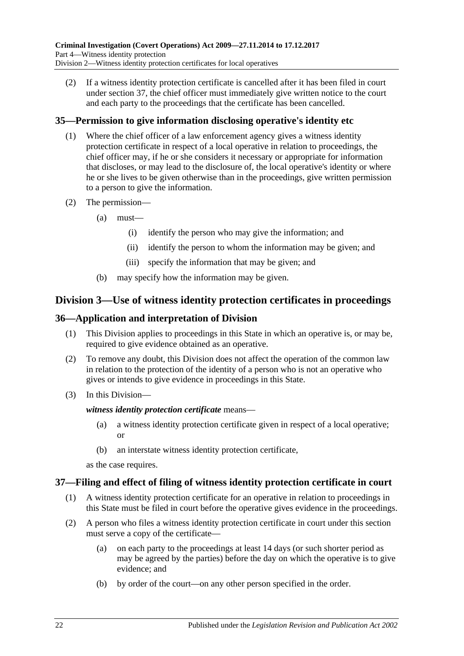(2) If a witness identity protection certificate is cancelled after it has been filed in court under [section](#page-21-3) 37, the chief officer must immediately give written notice to the court and each party to the proceedings that the certificate has been cancelled.

## <span id="page-21-0"></span>**35—Permission to give information disclosing operative's identity etc**

- (1) Where the chief officer of a law enforcement agency gives a witness identity protection certificate in respect of a local operative in relation to proceedings, the chief officer may, if he or she considers it necessary or appropriate for information that discloses, or may lead to the disclosure of, the local operative's identity or where he or she lives to be given otherwise than in the proceedings, give written permission to a person to give the information.
- (2) The permission—
	- (a) must—
		- (i) identify the person who may give the information; and
		- (ii) identify the person to whom the information may be given; and
		- (iii) specify the information that may be given; and
	- (b) may specify how the information may be given.

## <span id="page-21-1"></span>**Division 3—Use of witness identity protection certificates in proceedings**

## <span id="page-21-2"></span>**36—Application and interpretation of Division**

- (1) This Division applies to proceedings in this State in which an operative is, or may be, required to give evidence obtained as an operative.
- (2) To remove any doubt, this Division does not affect the operation of the common law in relation to the protection of the identity of a person who is not an operative who gives or intends to give evidence in proceedings in this State.
- (3) In this Division—

#### *witness identity protection certificate* means—

- (a) a witness identity protection certificate given in respect of a local operative; or
- (b) an interstate witness identity protection certificate,

as the case requires.

## <span id="page-21-3"></span>**37—Filing and effect of filing of witness identity protection certificate in court**

- (1) A witness identity protection certificate for an operative in relation to proceedings in this State must be filed in court before the operative gives evidence in the proceedings.
- (2) A person who files a witness identity protection certificate in court under this section must serve a copy of the certificate—
	- (a) on each party to the proceedings at least 14 days (or such shorter period as may be agreed by the parties) before the day on which the operative is to give evidence; and
	- (b) by order of the court—on any other person specified in the order.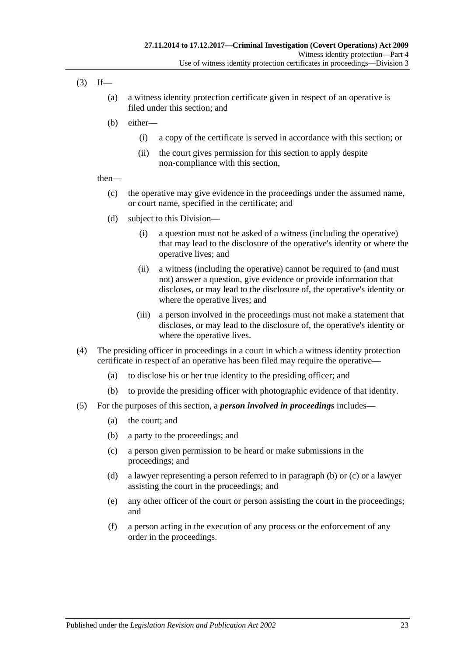- $(3)$  If—
	- (a) a witness identity protection certificate given in respect of an operative is filed under this section; and
	- (b) either—
		- (i) a copy of the certificate is served in accordance with this section; or
		- (ii) the court gives permission for this section to apply despite non-compliance with this section,

#### then—

- (c) the operative may give evidence in the proceedings under the assumed name, or court name, specified in the certificate; and
- (d) subject to this Division—
	- (i) a question must not be asked of a witness (including the operative) that may lead to the disclosure of the operative's identity or where the operative lives; and
	- (ii) a witness (including the operative) cannot be required to (and must not) answer a question, give evidence or provide information that discloses, or may lead to the disclosure of, the operative's identity or where the operative lives; and
	- (iii) a person involved in the proceedings must not make a statement that discloses, or may lead to the disclosure of, the operative's identity or where the operative lives.
- (4) The presiding officer in proceedings in a court in which a witness identity protection certificate in respect of an operative has been filed may require the operative—
	- (a) to disclose his or her true identity to the presiding officer; and
	- (b) to provide the presiding officer with photographic evidence of that identity.
- <span id="page-22-1"></span><span id="page-22-0"></span>(5) For the purposes of this section, a *person involved in proceedings* includes—
	- (a) the court; and
	- (b) a party to the proceedings; and
	- (c) a person given permission to be heard or make submissions in the proceedings; and
	- (d) a lawyer representing a person referred to in [paragraph](#page-22-0) (b) or [\(c\)](#page-22-1) or a lawyer assisting the court in the proceedings; and
	- (e) any other officer of the court or person assisting the court in the proceedings; and
	- (f) a person acting in the execution of any process or the enforcement of any order in the proceedings.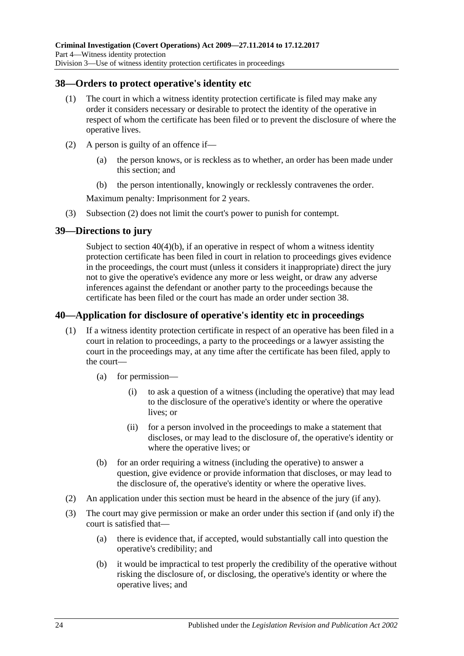## <span id="page-23-0"></span>**38—Orders to protect operative's identity etc**

- (1) The court in which a witness identity protection certificate is filed may make any order it considers necessary or desirable to protect the identity of the operative in respect of whom the certificate has been filed or to prevent the disclosure of where the operative lives.
- <span id="page-23-3"></span>(2) A person is guilty of an offence if—
	- (a) the person knows, or is reckless as to whether, an order has been made under this section; and
	- (b) the person intentionally, knowingly or recklessly contravenes the order.

Maximum penalty: Imprisonment for 2 years.

(3) [Subsection \(2\)](#page-23-3) does not limit the court's power to punish for contempt.

#### <span id="page-23-1"></span>**39—Directions to jury**

Subject to section [40\(4\)\(b\),](#page-24-1) if an operative in respect of whom a witness identity protection certificate has been filed in court in relation to proceedings gives evidence in the proceedings, the court must (unless it considers it inappropriate) direct the jury not to give the operative's evidence any more or less weight, or draw any adverse inferences against the defendant or another party to the proceedings because the certificate has been filed or the court has made an order under [section](#page-23-0) 38.

## <span id="page-23-2"></span>**40—Application for disclosure of operative's identity etc in proceedings**

- (1) If a witness identity protection certificate in respect of an operative has been filed in a court in relation to proceedings, a party to the proceedings or a lawyer assisting the court in the proceedings may, at any time after the certificate has been filed, apply to the court—
	- (a) for permission—
		- (i) to ask a question of a witness (including the operative) that may lead to the disclosure of the operative's identity or where the operative lives; or
		- (ii) for a person involved in the proceedings to make a statement that discloses, or may lead to the disclosure of, the operative's identity or where the operative lives; or
	- (b) for an order requiring a witness (including the operative) to answer a question, give evidence or provide information that discloses, or may lead to the disclosure of, the operative's identity or where the operative lives.
- (2) An application under this section must be heard in the absence of the jury (if any).
- (3) The court may give permission or make an order under this section if (and only if) the court is satisfied that—
	- (a) there is evidence that, if accepted, would substantially call into question the operative's credibility; and
	- (b) it would be impractical to test properly the credibility of the operative without risking the disclosure of, or disclosing, the operative's identity or where the operative lives; and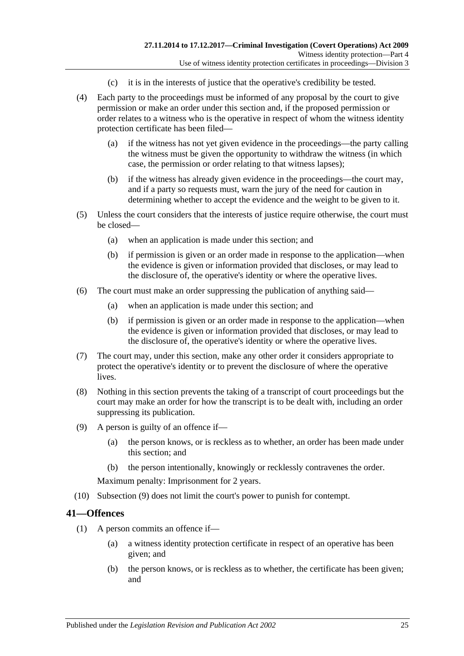- (c) it is in the interests of justice that the operative's credibility be tested.
- (4) Each party to the proceedings must be informed of any proposal by the court to give permission or make an order under this section and, if the proposed permission or order relates to a witness who is the operative in respect of whom the witness identity protection certificate has been filed—
	- (a) if the witness has not yet given evidence in the proceedings—the party calling the witness must be given the opportunity to withdraw the witness (in which case, the permission or order relating to that witness lapses);
	- (b) if the witness has already given evidence in the proceedings—the court may, and if a party so requests must, warn the jury of the need for caution in determining whether to accept the evidence and the weight to be given to it.
- <span id="page-24-1"></span>(5) Unless the court considers that the interests of justice require otherwise, the court must be closed—
	- (a) when an application is made under this section; and
	- (b) if permission is given or an order made in response to the application—when the evidence is given or information provided that discloses, or may lead to the disclosure of, the operative's identity or where the operative lives.
- (6) The court must make an order suppressing the publication of anything said—
	- (a) when an application is made under this section; and
	- (b) if permission is given or an order made in response to the application—when the evidence is given or information provided that discloses, or may lead to the disclosure of, the operative's identity or where the operative lives.
- (7) The court may, under this section, make any other order it considers appropriate to protect the operative's identity or to prevent the disclosure of where the operative lives.
- (8) Nothing in this section prevents the taking of a transcript of court proceedings but the court may make an order for how the transcript is to be dealt with, including an order suppressing its publication.
- <span id="page-24-2"></span>(9) A person is guilty of an offence if—
	- (a) the person knows, or is reckless as to whether, an order has been made under this section; and
	- (b) the person intentionally, knowingly or recklessly contravenes the order.

Maximum penalty: Imprisonment for 2 years.

(10) [Subsection \(9\)](#page-24-2) does not limit the court's power to punish for contempt.

#### <span id="page-24-3"></span><span id="page-24-0"></span>**41—Offences**

- (1) A person commits an offence if—
	- (a) a witness identity protection certificate in respect of an operative has been given; and
	- (b) the person knows, or is reckless as to whether, the certificate has been given; and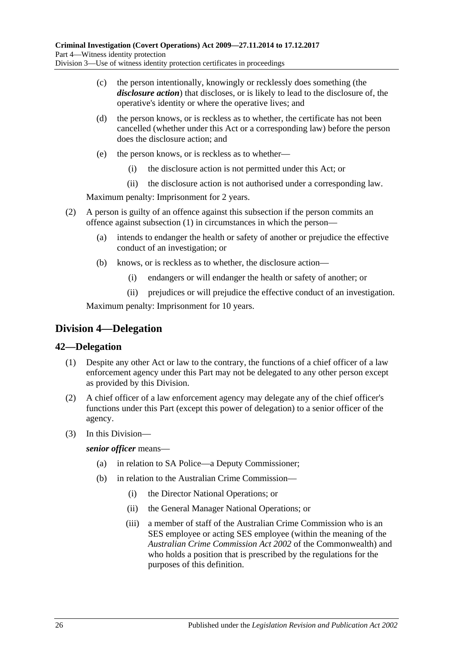- (c) the person intentionally, knowingly or recklessly does something (the *disclosure action*) that discloses, or is likely to lead to the disclosure of, the operative's identity or where the operative lives; and
- (d) the person knows, or is reckless as to whether, the certificate has not been cancelled (whether under this Act or a corresponding law) before the person does the disclosure action; and
- (e) the person knows, or is reckless as to whether—
	- (i) the disclosure action is not permitted under this Act; or
	- (ii) the disclosure action is not authorised under a corresponding law.

Maximum penalty: Imprisonment for 2 years.

- (2) A person is guilty of an offence against this subsection if the person commits an offence against [subsection](#page-24-3) (1) in circumstances in which the person—
	- (a) intends to endanger the health or safety of another or prejudice the effective conduct of an investigation; or
	- (b) knows, or is reckless as to whether, the disclosure action—
		- (i) endangers or will endanger the health or safety of another; or
		- (ii) prejudices or will prejudice the effective conduct of an investigation.

Maximum penalty: Imprisonment for 10 years.

## <span id="page-25-0"></span>**Division 4—Delegation**

#### <span id="page-25-1"></span>**42—Delegation**

- (1) Despite any other Act or law to the contrary, the functions of a chief officer of a law enforcement agency under this Part may not be delegated to any other person except as provided by this Division.
- (2) A chief officer of a law enforcement agency may delegate any of the chief officer's functions under this Part (except this power of delegation) to a senior officer of the agency.
- (3) In this Division—

*senior officer* means—

- (a) in relation to SA Police—a Deputy Commissioner;
- (b) in relation to the Australian Crime Commission—
	- (i) the Director National Operations; or
	- (ii) the General Manager National Operations; or
	- (iii) a member of staff of the Australian Crime Commission who is an SES employee or acting SES employee (within the meaning of the *Australian Crime Commission Act 2002* of the Commonwealth) and who holds a position that is prescribed by the regulations for the purposes of this definition.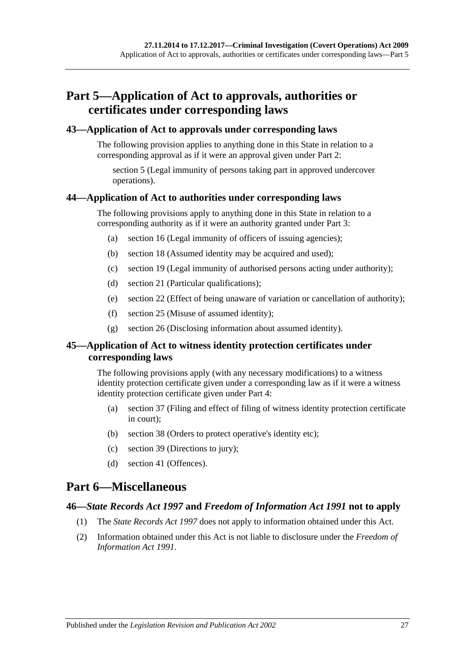# <span id="page-26-0"></span>**Part 5—Application of Act to approvals, authorities or certificates under corresponding laws**

#### <span id="page-26-1"></span>**43—Application of Act to approvals under corresponding laws**

The following provision applies to anything done in this State in relation to a corresponding approval as if it were an approval given under [Part 2:](#page-6-0)

[section](#page-7-0) 5 (Legal immunity of persons taking part in approved undercover operations).

#### <span id="page-26-2"></span>**44—Application of Act to authorities under corresponding laws**

The following provisions apply to anything done in this State in relation to a corresponding authority as if it were an authority granted under [Part 3:](#page-8-0)

- (a) [section](#page-12-3) 16 (Legal immunity of officers of issuing agencies);
- (b) [section](#page-13-2) 18 (Assumed identity may be acquired and used);
- (c) [section](#page-13-3) 19 (Legal immunity of authorised persons acting under authority);
- (d) [section](#page-14-0) 21 (Particular qualifications);
- (e) [section](#page-14-1) 22 (Effect of being unaware of variation or cancellation of authority);
- (f) [section](#page-15-2) 25 (Misuse of assumed identity);
- (g) [section](#page-16-0) 26 (Disclosing information about assumed identity).

## <span id="page-26-3"></span>**45—Application of Act to witness identity protection certificates under corresponding laws**

The following provisions apply (with any necessary modifications) to a witness identity protection certificate given under a corresponding law as if it were a witness identity protection certificate given under [Part 4:](#page-18-0)

- (a) [section](#page-21-3) 37 (Filing and effect of filing of witness identity protection certificate in court);
- (b) [section](#page-23-0) 38 (Orders to protect operative's identity etc);
- (c) [section](#page-23-1) 39 (Directions to jury);
- (d) [section](#page-24-0) 41 (Offences).

# <span id="page-26-4"></span>**Part 6—Miscellaneous**

#### <span id="page-26-5"></span>**46—***State Records Act 1997* **and** *Freedom of Information Act 1991* **not to apply**

- (1) The *[State Records Act](http://www.legislation.sa.gov.au/index.aspx?action=legref&type=act&legtitle=State%20Records%20Act%201997) 1997* does not apply to information obtained under this Act.
- (2) Information obtained under this Act is not liable to disclosure under the *[Freedom of](http://www.legislation.sa.gov.au/index.aspx?action=legref&type=act&legtitle=Freedom%20of%20Information%20Act%201991)  [Information Act](http://www.legislation.sa.gov.au/index.aspx?action=legref&type=act&legtitle=Freedom%20of%20Information%20Act%201991) 1991*.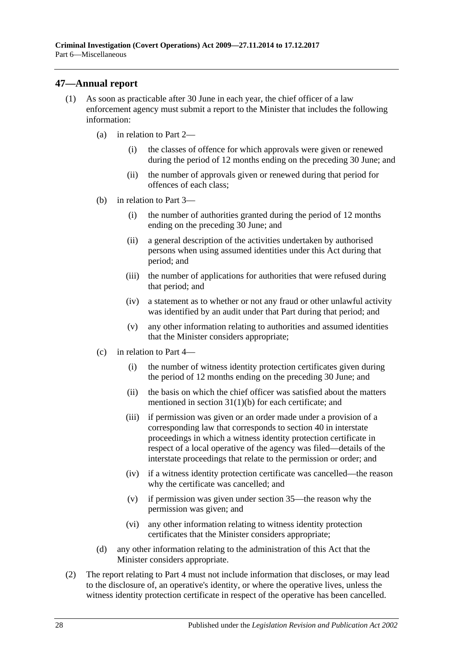## <span id="page-27-0"></span>**47—Annual report**

- (1) As soon as practicable after 30 June in each year, the chief officer of a law enforcement agency must submit a report to the Minister that includes the following information:
	- (a) in relation to [Part 2—](#page-6-0)
		- (i) the classes of offence for which approvals were given or renewed during the period of 12 months ending on the preceding 30 June; and
		- (ii) the number of approvals given or renewed during that period for offences of each class;
	- (b) in relation to [Part 3—](#page-8-0)
		- (i) the number of authorities granted during the period of 12 months ending on the preceding 30 June; and
		- (ii) a general description of the activities undertaken by authorised persons when using assumed identities under this Act during that period; and
		- (iii) the number of applications for authorities that were refused during that period; and
		- (iv) a statement as to whether or not any fraud or other unlawful activity was identified by an audit under that Part during that period; and
		- (v) any other information relating to authorities and assumed identities that the Minister considers appropriate;
	- (c) in relation to [Part 4—](#page-18-0)
		- (i) the number of witness identity protection certificates given during the period of 12 months ending on the preceding 30 June; and
		- (ii) the basis on which the chief officer was satisfied about the matters mentioned in section [31\(1\)\(b\)](#page-18-5) for each certificate; and
		- (iii) if permission was given or an order made under a provision of a corresponding law that corresponds to [section](#page-23-2) 40 in interstate proceedings in which a witness identity protection certificate in respect of a local operative of the agency was filed—details of the interstate proceedings that relate to the permission or order; and
		- (iv) if a witness identity protection certificate was cancelled—the reason why the certificate was cancelled; and
		- (v) if permission was given under [section](#page-21-0) 35—the reason why the permission was given; and
		- (vi) any other information relating to witness identity protection certificates that the Minister considers appropriate;
	- (d) any other information relating to the administration of this Act that the Minister considers appropriate.
- (2) The report relating to [Part 4](#page-18-0) must not include information that discloses, or may lead to the disclosure of, an operative's identity, or where the operative lives, unless the witness identity protection certificate in respect of the operative has been cancelled.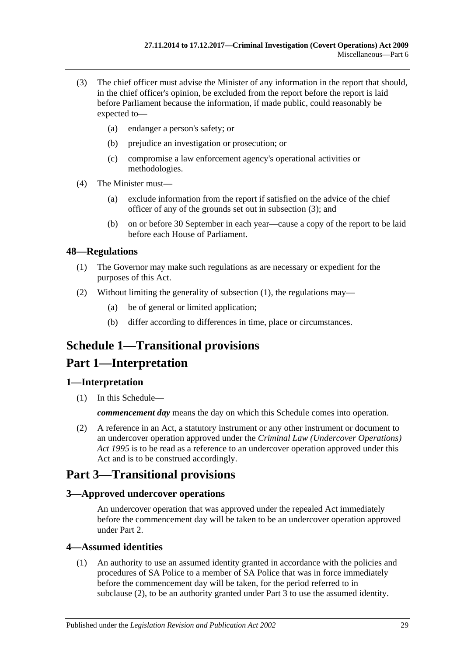- <span id="page-28-5"></span>(3) The chief officer must advise the Minister of any information in the report that should, in the chief officer's opinion, be excluded from the report before the report is laid before Parliament because the information, if made public, could reasonably be expected to—
	- (a) endanger a person's safety; or
	- (b) prejudice an investigation or prosecution; or
	- (c) compromise a law enforcement agency's operational activities or methodologies.
- (4) The Minister must—
	- (a) exclude information from the report if satisfied on the advice of the chief officer of any of the grounds set out in [subsection](#page-28-5) (3); and
	- (b) on or before 30 September in each year—cause a copy of the report to be laid before each House of Parliament.

## <span id="page-28-6"></span><span id="page-28-0"></span>**48—Regulations**

- (1) The Governor may make such regulations as are necessary or expedient for the purposes of this Act.
- (2) Without limiting the generality of [subsection](#page-28-6) (1), the regulations may—
	- (a) be of general or limited application;
	- (b) differ according to differences in time, place or circumstances.

# <span id="page-28-1"></span>**Schedule 1—Transitional provisions**

# **Part 1—Interpretation**

## <span id="page-28-2"></span>**1—Interpretation**

(1) In this Schedule—

*commencement day* means the day on which this Schedule comes into operation.

(2) A reference in an Act, a statutory instrument or any other instrument or document to an undercover operation approved under the *[Criminal Law \(Undercover Operations\)](http://www.legislation.sa.gov.au/index.aspx?action=legref&type=act&legtitle=Criminal%20Law%20(Undercover%20Operations)%20Act%201995) Act [1995](http://www.legislation.sa.gov.au/index.aspx?action=legref&type=act&legtitle=Criminal%20Law%20(Undercover%20Operations)%20Act%201995)* is to be read as a reference to an undercover operation approved under this Act and is to be construed accordingly.

# **Part 3—Transitional provisions**

## <span id="page-28-3"></span>**3—Approved undercover operations**

An undercover operation that was approved under the repealed Act immediately before the commencement day will be taken to be an undercover operation approved under [Part 2.](#page-6-0)

## <span id="page-28-4"></span>**4—Assumed identities**

(1) An authority to use an assumed identity granted in accordance with the policies and procedures of SA Police to a member of SA Police that was in force immediately before the commencement day will be taken, for the period referred to in [subclause](#page-29-1) (2), to be an authority granted under [Part 3](#page-8-0) to use the assumed identity.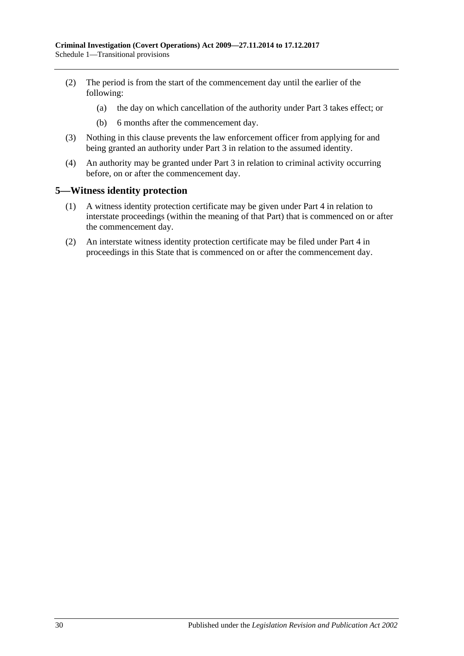- <span id="page-29-1"></span>(2) The period is from the start of the commencement day until the earlier of the following:
	- (a) the day on which cancellation of the authority under [Part 3](#page-8-0) takes effect; or
	- (b) 6 months after the commencement day.
- (3) Nothing in this clause prevents the law enforcement officer from applying for and being granted an authority under [Part 3](#page-8-0) in relation to the assumed identity.
- (4) An authority may be granted under [Part 3](#page-8-0) in relation to criminal activity occurring before, on or after the commencement day.

#### <span id="page-29-0"></span>**5—Witness identity protection**

- (1) A witness identity protection certificate may be given under [Part 4](#page-18-0) in relation to interstate proceedings (within the meaning of that Part) that is commenced on or after the commencement day.
- (2) An interstate witness identity protection certificate may be filed under [Part 4](#page-18-0) in proceedings in this State that is commenced on or after the commencement day.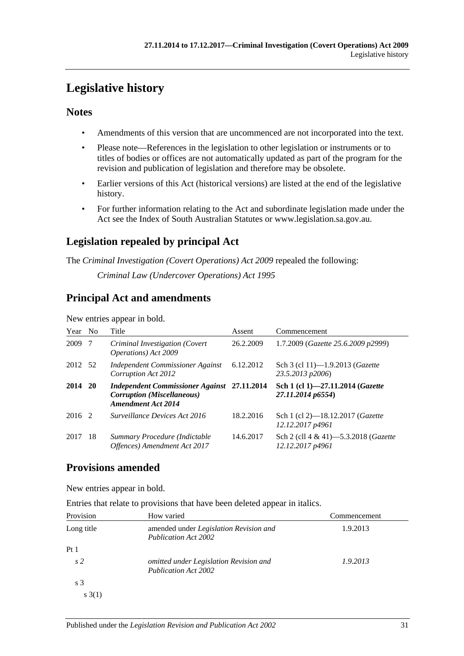# <span id="page-30-0"></span>**Legislative history**

## **Notes**

- Amendments of this version that are uncommenced are not incorporated into the text.
- Please note—References in the legislation to other legislation or instruments or to titles of bodies or offices are not automatically updated as part of the program for the revision and publication of legislation and therefore may be obsolete.
- Earlier versions of this Act (historical versions) are listed at the end of the legislative history.
- For further information relating to the Act and subordinate legislation made under the Act see the Index of South Australian Statutes or www.legislation.sa.gov.au.

# **Legislation repealed by principal Act**

The *Criminal Investigation (Covert Operations) Act 2009* repealed the following:

*Criminal Law (Undercover Operations) Act 1995*

## **Principal Act and amendments**

New entries appear in bold.

| Year    | N <sub>0</sub> | Title                                                                                                                | Assent    | Commencement                                                 |
|---------|----------------|----------------------------------------------------------------------------------------------------------------------|-----------|--------------------------------------------------------------|
| 2009    | -7             | Criminal Investigation (Covert<br><i>Operations</i> ) Act 2009                                                       | 26.2.2009 | 1.7.2009 (Gazette 25.6.2009 p2999)                           |
| 2012 52 |                | Independent Commissioner Against<br>Corruption Act 2012                                                              | 6.12.2012 | Sch 3 (cl 11)-1.9.2013 (Gazette<br>23.5.2013 p2006)          |
| 2014 20 |                | <b>Independent Commissioner Against</b> 27.11.2014<br><b>Corruption</b> (Miscellaneous)<br><b>Amendment Act 2014</b> |           | Sch 1 (cl 1)-27.11.2014 (Gazette<br>27.11.2014 p6554)        |
| 2016 2  |                | Surveillance Devices Act 2016                                                                                        | 18.2.2016 | Sch 1 (cl 2)—18.12.2017 ( <i>Gazette</i><br>12.12.2017 p4961 |
| 2017    | -18            | Summary Procedure (Indictable<br>Offences) Amendment Act 2017                                                        | 14.6.2017 | Sch 2 (cll 4 & 41)-5.3.2018 (Gazette<br>12.12.2017 p4961     |

## **Provisions amended**

New entries appear in bold.

Entries that relate to provisions that have been deleted appear in italics.

| Provision       | How varied                                                            | Commencement |
|-----------------|-----------------------------------------------------------------------|--------------|
| Long title      | amended under Legislation Revision and<br>Publication Act 2002        | 1.9.2013     |
| Pt <sub>1</sub> |                                                                       |              |
| s <sub>2</sub>  | omitted under Legislation Revision and<br><b>Publication Act 2002</b> | 1.9.2013     |
| s <sub>3</sub>  |                                                                       |              |
| s(3(1))         |                                                                       |              |